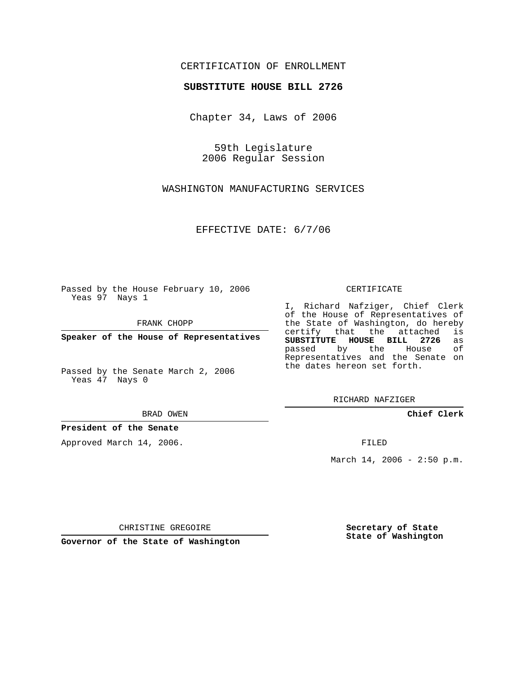## CERTIFICATION OF ENROLLMENT

## **SUBSTITUTE HOUSE BILL 2726**

Chapter 34, Laws of 2006

59th Legislature 2006 Regular Session

WASHINGTON MANUFACTURING SERVICES

EFFECTIVE DATE: 6/7/06

Passed by the House February 10, 2006 Yeas 97 Nays 1

FRANK CHOPP

**Speaker of the House of Representatives**

Passed by the Senate March 2, 2006 Yeas 47 Nays 0

BRAD OWEN

**President of the Senate**

Approved March 14, 2006.

CERTIFICATE

I, Richard Nafziger, Chief Clerk of the House of Representatives of the State of Washington, do hereby<br>certify that the attached is certify that the attached **SUBSTITUTE HOUSE BILL 2726** as passed by the House Representatives and the Senate on the dates hereon set forth.

RICHARD NAFZIGER

**Chief Clerk**

FILED

March  $14, 2006 - 2:50 p.m.$ 

CHRISTINE GREGOIRE

**Governor of the State of Washington**

**Secretary of State State of Washington**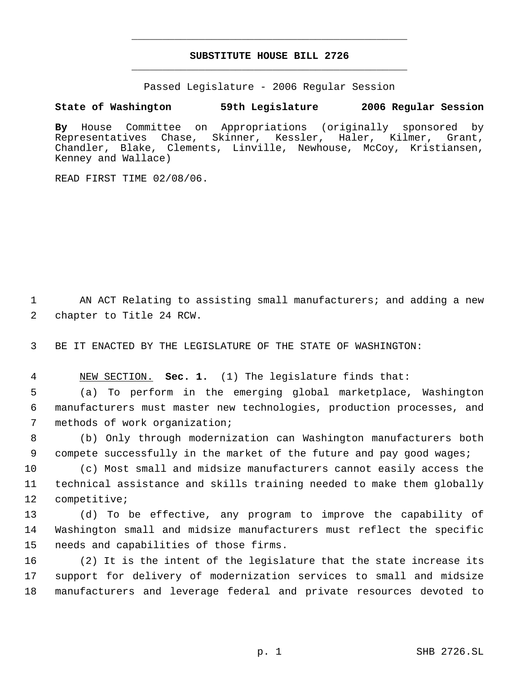## **SUBSTITUTE HOUSE BILL 2726** \_\_\_\_\_\_\_\_\_\_\_\_\_\_\_\_\_\_\_\_\_\_\_\_\_\_\_\_\_\_\_\_\_\_\_\_\_\_\_\_\_\_\_\_\_

\_\_\_\_\_\_\_\_\_\_\_\_\_\_\_\_\_\_\_\_\_\_\_\_\_\_\_\_\_\_\_\_\_\_\_\_\_\_\_\_\_\_\_\_\_

Passed Legislature - 2006 Regular Session

## **State of Washington 59th Legislature 2006 Regular Session**

**By** House Committee on Appropriations (originally sponsored by Representatives Chase, Skinner, Kessler, Haler, Kilmer, Grant, Chandler, Blake, Clements, Linville, Newhouse, McCoy, Kristiansen, Kenney and Wallace)

READ FIRST TIME 02/08/06.

1 AN ACT Relating to assisting small manufacturers; and adding a new 2 chapter to Title 24 RCW.

3 BE IT ENACTED BY THE LEGISLATURE OF THE STATE OF WASHINGTON:

4 NEW SECTION. **Sec. 1.** (1) The legislature finds that:

 5 (a) To perform in the emerging global marketplace, Washington 6 manufacturers must master new technologies, production processes, and 7 methods of work organization;

 8 (b) Only through modernization can Washington manufacturers both 9 compete successfully in the market of the future and pay good wages;

10 (c) Most small and midsize manufacturers cannot easily access the 11 technical assistance and skills training needed to make them globally 12 competitive;

13 (d) To be effective, any program to improve the capability of 14 Washington small and midsize manufacturers must reflect the specific 15 needs and capabilities of those firms.

16 (2) It is the intent of the legislature that the state increase its 17 support for delivery of modernization services to small and midsize 18 manufacturers and leverage federal and private resources devoted to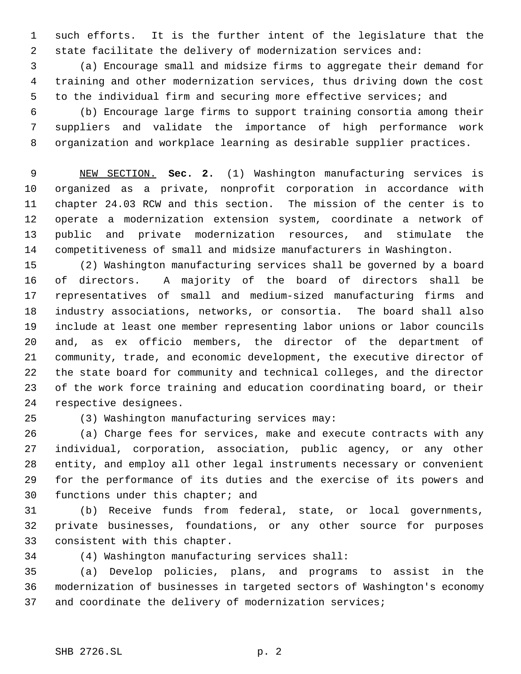such efforts. It is the further intent of the legislature that the state facilitate the delivery of modernization services and:

 (a) Encourage small and midsize firms to aggregate their demand for training and other modernization services, thus driving down the cost to the individual firm and securing more effective services; and

 (b) Encourage large firms to support training consortia among their suppliers and validate the importance of high performance work organization and workplace learning as desirable supplier practices.

 NEW SECTION. **Sec. 2.** (1) Washington manufacturing services is organized as a private, nonprofit corporation in accordance with chapter 24.03 RCW and this section. The mission of the center is to operate a modernization extension system, coordinate a network of public and private modernization resources, and stimulate the competitiveness of small and midsize manufacturers in Washington.

 (2) Washington manufacturing services shall be governed by a board of directors. A majority of the board of directors shall be representatives of small and medium-sized manufacturing firms and industry associations, networks, or consortia. The board shall also include at least one member representing labor unions or labor councils and, as ex officio members, the director of the department of community, trade, and economic development, the executive director of the state board for community and technical colleges, and the director of the work force training and education coordinating board, or their respective designees.

(3) Washington manufacturing services may:

 (a) Charge fees for services, make and execute contracts with any individual, corporation, association, public agency, or any other entity, and employ all other legal instruments necessary or convenient for the performance of its duties and the exercise of its powers and functions under this chapter; and

 (b) Receive funds from federal, state, or local governments, private businesses, foundations, or any other source for purposes consistent with this chapter.

(4) Washington manufacturing services shall:

 (a) Develop policies, plans, and programs to assist in the modernization of businesses in targeted sectors of Washington's economy and coordinate the delivery of modernization services;